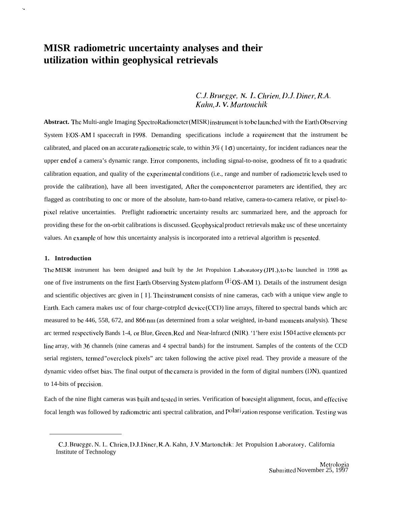# **MISR radiometric uncertainty analyses and their utilization within geophysical retrievals**

# $C.J.$  *Bruegge, N. L. Chrien, D.J. Diner, R.A. Kdm, J. V. A4artmchik*

Abstract. The Multi-angle Imaging SpectroRadiometer (MISR) instrument is to be launched with the Earth Observing System EOS-AM I spacecraft in 1998. Demanding specifications include a requirement that the instrument be calibrated, and placed on an accurate radiometric scale, to within  $3\%$  (1 $\sigma$ ) uncertainty, for incident radiances near the upper cnd of a camera's dynamic range. Error components, including signal-to-noise, goodness of fit to a quadratic calibration equation, and quality of the experimental conditions (i.e., range and number of radiometric levels used to provide the calibration), have all been investigated, After the component crior parameters are identified, they arc flagged as contributing to onc or more of the absolute, ham-to-band relative, camera-to-camera relative, or pixcl-topixel relative uncertainties. Preflight radiometric uncertainty results arc summarized here, and the approach for providing these for the on-orbit calibrations is discussed. Geophysical product retrievals make usc of these uncertainty values. An cxamp]c of how this uncertainty analysis is incorporated into a retrieval algorithm is prcscntcd.

#### **1. Introduction**

. .

The MISR instrument has been designed and built by the Jet Propulsion Laboratory (JPL), to be launched in 1998 as one of five instruments on the first Earth Observing System platform  $(EOS-AM 1)$ . Details of the instrument design and scientific objectives arc given in [1]. The instrument consists of nine cameras, cacb with a unique view angle to Ear(h. Each camera makes usc of four charge-cotrplcd dcvicc (CCIJ) line arrays, filtered to spectral bands which arc measured to bc 446, 558, 672, and 866 nm (as determined from a solar weighted, in-band moments analysis). These arc termed respectively Bands 1-4, or Blue, Green, Red and Near-Infrarcd (NIR). '1'here exist 1504 active elements pcr Iinc array, with 36 channels (nine cameras and 4 spectral bands) for the instrument. Samples of the contents of the CCD serial registers, tcrrncd "ovcrclock pixels" arc taken following the active pixel read. They provide a measure of the dynamic video offset bias. The final output of the carncra is provided in the form of digital numbers (IJN), quantized to 14-bits of precision.

Each of the nine flight cameras was built and tested in series. Verification of boresight alignment, focus, and effective focal length was followed by radiometric anti spectral calibration, and polarization response verification. Test ing was

C.J. Brucggc, N. I.. Chricn, 1).J. l)incr, R.A. Kahn, J.V. Martonchik: Jet Propulsion I.aboratmy, California Institute of Technology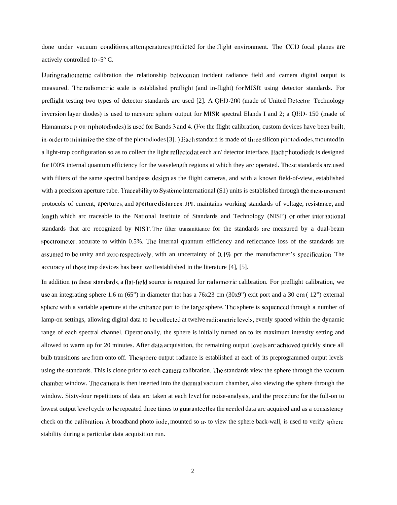done under vacuum conditions, at temperatures predicted for the flight environment. The CCD focal planes are actively controlled to -5° C.

I)uring radiornctric calibration the relationship bctwccn an incident radiance field and camera digital output is measured. The radiometric scale is established preflight (and in-flight) for MISR using detector standards. For preflight testing two types of detector standards arc used [2]. A QED-200 (made of United Detector Technology inversion layer diodes) is used to measure sphere output for MISR spectral Elands I and 2; a QED-150 (made of Hamamatsu p-on-n photodiodes) is used for Bands 3 and 4. (For the flight calibration, custom devices have been built, in-order to minimize the size of the photodiodes [3]. ) Each standard is made of three silicon photodiodes, mounted in a light-trap configuration so as to collect the light reflected at each air/ detector interface. Each photodiode is designed for 100% internal quantum efficiency for the wavelength regions at which they arc operated. These standards are used with filters of the same spectral bandpass design as the flight cameras, and with a known field-of-view, established with a precision aperture tube. Traccability to Système international  $(S1)$  units is established through the measurement protocols of current, apertures, and aperture distances. JPL maintains working standards of voltage, resistance, and length which arc traceable to the National Institute of Standards and Technology (NISI') or other international standards that arc recognized by NIST. The filter transmittance for the standards are measured by a dual-beam spectrometer, accurate to within 0.5%. The internal quantum efficiency and reflectance loss of the standards are assumed to be unity and zero respectively, with an uncertainty of  $0.1\%$  pcr the manufacturer's specification. The accuracy of these trap devices has been well established in the literature [4], [5].

In addition to these standards, a flat-field source is required for radiometric calibration. For preflight calibration, we use an integrating sphere 1.6 m (65") in diameter that has a  $76x23$  cm (30x9") exit port and a 30 cm (12") external sphere with a variable aperture at the cntrance port to the large sphere. The sphere is sequenced through a number of lamp-on settings, allowing digital data to be collected at twelve radiometric levels, evenly spaced within the dynamic range of each spectral channel. Operationally, the sphere is initially turned on to its maximum intensity setting and allowed to warm up for 20 minutes. After data acquisition, tbc remaining output levels arc achieved quickly since all bulb transitions are from onto off. The sphere output radiance is established at each of its preprogrammed output levels using the standards. This is clone prior to each carncra calibration. I'hc standards view the sphere through the vacuum chamber window. The camera is then inserted into the thermal vacuum chamber, also viewing the sphere through the window. Sixty-four repetitions of data arc taken at each level for noise-analysis, and the procedure for the full-on to lowest output level cycle to be repeated three times to guarantec that the necded data arc acquired and as a consistency check on the calibration. A broadband photo iode, mounted so as to view the sphere back-wall, is used to verify sphere stability during a particular data acquisition run.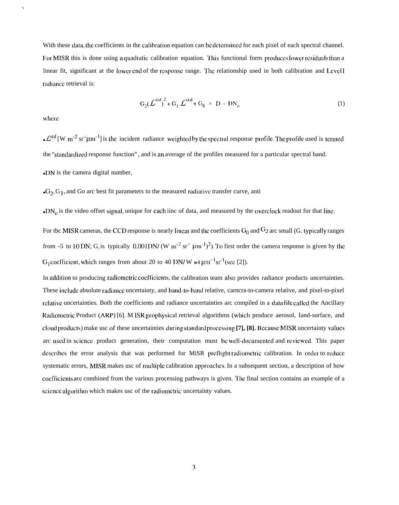With these data, the coefficients in the calibration equation can be determined for each pixel of each spectral channel. For MISR this is done using aquadratic calibration equation. This functional form produces lower residuals than a linear fit, significant at the lower end of the response range. The relationship used in both calibration and Levell radiance retrieval is:

$$
G_2(\mathcal{L}^{\text{std}})^2 + G_1 \mathcal{L}^{\text{std}} + G_0 = D - DN_o
$$
 (1)

where

 $\mathbf{v}_k$ 

•  $\mathcal{L}^{\text{std}}$  [W m<sup>-2</sup> sr<sup>2</sup>µm<sup>-1</sup>] is the incident radiance weighted by the spectral response profile. The profile used is termed the "standardized response function", and is an average of the profiles measured for a particular spectral band.  $\bullet$  DN is the camera digital number,

 $\cdot$  G<sub>2</sub>, G<sub>1</sub>, and Go arc best fit parameters to the measured radiative transfer curve, anti

 $\bullet$  DN<sub>0</sub> is the video offset signal, unique for each iinc of data, and measured by the overclock readout for that line.

For tbc MISR cameras, the CCD response is nearly linear and the coefficients  $G_0$  and  $G_2$  arc small (G. typically ranges from -5 to 10 DN; G, is typically 0.001 DN/ (W m<sup>-2</sup> sr<sup>2</sup>  $\mu$ m<sup>-1</sup>)<sup>2</sup>). To first order the camera response is given by the  $G_1$ coefficient, which ranges from about 20 to 40 DN/W n-1 $\mu$ m<sup>-1</sup>sr<sup>-1</sup>(see [2]).

In addition to producing radiometric coefficients, the calibration team also provides radiance products uncertainties. These include absolute radiance uncertainty, and band-to-band relative, carnera-to-camera relative, and pixel-to-pixel relative uncertainties. Both the coefficients and radiance uncertainties arc compiled in a data file called the Ancillary Radiometric Product (ARP) [6]. M ISR geophysical retrieval algorithms (which produce aerosol, Iand-surface, and cloud products) make usc of these uncertainties during standard processing [7], [8]. Because MISR uncertainty values arc used in science product generation, their computation must be well-documented and reviewed. This paper describes the error analysis that was performed for MiSR preflight radiometric calibration. In order to reduce systematic errors, MISR makes usc of multiple calibration approaches. In a subsequent section, a description of how coefficients are combined from the various processing pathways is given. The final section contains an example of a science algorithm which makes usc of the radiometric uncertainty values.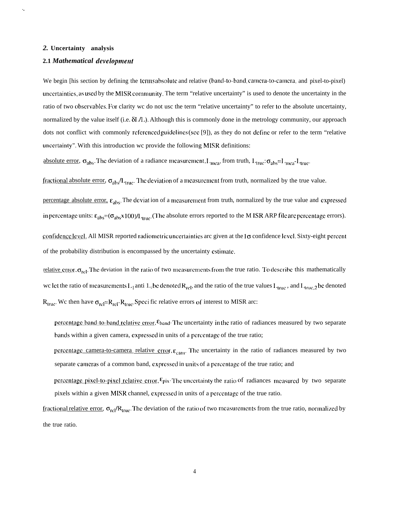#### 2. Uncertainty analysis

 $\ddot{\phantom{a}}$ 

#### 2.1 Mathematical development

We begin [his section by defining the terms absolute and relative (band-to-band, camera-to-camera, and pixel-to-pixel) uncertainties, as used by the MISR community. The term "relative uncertainty" is used to denote the uncertainty in the ratio of two observables. For clarity we do not use the term "relative uncertainty" to refer to the absolute uncertainty, normalized by the value itself (i.e.  $\delta I/I$ .). Although this is commonly done in the metrology community, our approach dots not conflict with commonly referenced guidelines (see [9]), as they do not define or refer to the term "relative uncertainty". With this introduction we provide the following MISR definitions:

absolute error,  $\sigma_{\text{abs}}$ . The deviation of a radiance measurement,  $L_{\text{mea}}$ , from truth,  $L_{\text{true}}$ :  $\sigma_{\text{abs}} = L_{\text{mea}} - L_{\text{true}}$ .

fractional absolute error,  $\sigma_{\text{abs}}/L_{\text{true}}$ . The deviation of a measurement from truth, normalized by the true value.

percentage absolute error,  $\varepsilon_{\text{abs}}$ . The deviation of a measurement from truth, normalized by the true value and expressed in percentage units:  $\epsilon_{abs} = (\sigma_{abs} \times 100) / L_{true}$ . (The absolute errors reported to the M ISR ARP file are percentage errors).

confidence level. All MISR reported radiometric uncertainties are given at the  $1\sigma$  confidence level. Sixty-eight percent of the probability distribution is encompassed by the uncertainty estimate.

relative error,  $\sigma_{rel}$ . The deviation in the ratio of two measurements from the true ratio. To describe this mathematically we let the ratio of measurements  $L_1$  anti  $L_2$  be denoted  $R_{\text{rel}}$ , and the ratio of the true values  $L_{\text{true}}$ , and  $L_{\text{true},2}$  be denoted  $R_{true}$ . We then have  $\sigma_{rel} = R_{rel} - R_{true}$ . Specific relative errors of interest to MISR arc:

percentage band-to-band relative error,  $\epsilon_{\text{band}}$ . The uncertainty in the ratio of radiances measured by two separate bands within a given camera, expressed in units of a percentage of the true ratio;

percentage camera-to-camera relative error,  $\varepsilon_{\text{cam}}$ . The uncertainty in the ratio of radiances measured by two separate cameras of a common band, expressed in units of a percentage of the true ratio; and

percentage pixel-to-pixel relative error,  $\varepsilon_{pix}$ . The uncertainty the ratio of radiances measured by two separate pixels within a given MISR channel, expressed in units of a percentage of the true ratio.

fractional relative error,  $\sigma_{rel}/R_{true}$ . The deviation of the ratio of two measurements from the true ratio, normalized by the true ratio.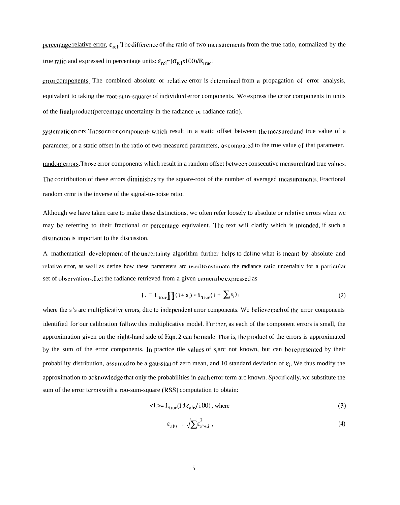percentage relative error,  $\varepsilon_{\text{rel}}$ . The difference of the ratio of two measurements from the true ratio, normalized by the true ratio and expressed in percentage units:  $\varepsilon_{\text{rel}} = (\sigma_{\text{rel}} \times 100)/R_{\text{true}}$ .

error components. The combined absolute or relative error is determined from a propagation of error analysis, equivalent to taking the root-sum-squares of individual error components. We express the error components in units of the final product (percentage uncertainty in the radiance or radiance ratio).

systematic errors. Those error components which result in a static offset between the measured and true value of a parameter, or a static offset in the ratio of two measured parameters, as compared to the true value of that parameter. random crrors. Those error components which result in a random offset between consecutive measured and true values, The contribution of these errors diminishes try the square-root of the number of averaged mcasurements. Fractional random crmr is the inverse of the signal-to-noise ratio.

Although we have taken care to make these distinctions, wc often refer loosely to absolute or rciativc errors when wc may be referring to their fractional or percentage equivalent. The text wiii clarify which is intended, if such a distinction is important to the discussion.

A mathematical development of the uncertainty algorithm further helps to define what is meant by absolute and rclative error, as well as define how these parameters arc used to estimate the radiance ratio uncertainly for a particular set of observations. Let the radiance retrieved from a given camera be expressed as

$$
L = L_{true} \prod (1 + s_i) \approx L_{true} (1 + \sum s_i), \qquad (2)
$$

where the s<sub>i</sub>'s arc multiplicative errors, dtrc to independent error components. We believe each of the error components identified for our calibration follow this multiplicative model. Further, as each of the component errors is small, the approximation given on the right-hand side of  $Eqn. 2$  can be made. That is, the product of the errors is approximated by the sum of the error components. In practice tile values of  $s<sub>i</sub>$  arc not known, but can be represented by their probability distribution, assumed to be a gaussian of zero mean, and 10 standard deviation of  $\varepsilon_i$ . We thus modify the approximation to acknowledge that oniy the probabilities in each error term arc known. Specifically, we substitute the sum of the error terms with a roo-sum-square (RSS) computation to obtain:

$$
\langle L \rangle = I_{\text{true}} (I \pm \varepsilon_{\text{abs}} / i 00), \text{ where} \tag{3}
$$

$$
\varepsilon_{\text{abs}} \cdot \sqrt{\sum \varepsilon_{\text{abs},i}^2}, \qquad (4)
$$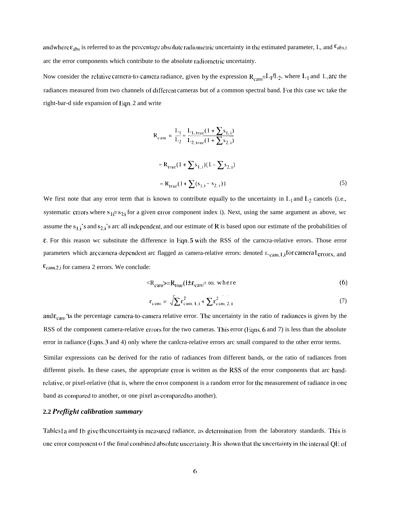and where  $\varepsilon_{abs}$  is referred to as the percentage absolute radiometric uncertainty in the estimated parameter, I., and  $\varepsilon_{abs,i}$ arc the error components which contribute to the absolute radiometric uncertainty.

Now consider the relative camera-to-camera radiance, given by the expression  $R_{\text{cam}} = L_1/L_2$ , where  $L_1$  and  $1$ . are the radiances measured from two channels of different cameras but of a common spectral band. For this case wc take the right-bar-d side expansion of  $Enn$ . 2 and write

$$
R_{cam} = \frac{L_1}{L_2} \approx \frac{L_{1, true}(1 + \sum s_{1, i})}{L_{2, true}(1 + \sum s_{2, i})}
$$
  

$$
\approx R_{true}(1 + \sum s_{1, i})(1 - \sum s_{2, i})
$$
  

$$
\approx R_{true}(1 + \sum (s_{1, i} - s_{2, i}))
$$
 (5)

We first note that any error term that is known to contribute equally to the uncertainty in  $L_1$  and  $L_2$  cancels (i.e., systematic errors where  $s_{1} = s_{2}$  for a given error component index i). Next, using the same argument as above, wc or te:<br> $s_1=s_2$ assume the  $s_{1,i}$ 's and  $s_{2,i}$ 's arc all independent, and our estimate of R is based upon our estimate of the probabilities of  $\epsilon$ . For this reason wc substitute the difference in Eqn. **5** with the RSS of the carncra-relative errors. Those error parameters which are camera-dependent arc flagged as camera-relative errors: denoted E.cam, 1,i for camera I errors, and  $\varepsilon$ <sub>cam,2,i</sub> for camera 2 errors. We conclude:

$$
\langle R_{\text{cam}} \rangle = R_{\text{true}} (1 \pm \varepsilon_{\text{cam}} / 100), \text{ where } (6)
$$

$$
\varepsilon_{\text{cam}} = \sqrt{\sum \varepsilon_{\text{cam}, 1, i}^2 + \sum \varepsilon_{\text{cam}, 2, i}^2}
$$
 (7)

and  $\varepsilon_{\rm cam}$  "is the percentage camera-to-camera relative error. The uncertainty in the ratio of radiances is given by the RSS of the component camera-relative errors for the two cameras. This error (Eqns. 6 and 7) is less than the absolute error in radiance (Fqns. 3 and 4) only where the canlcra-relative errors arc small compared to the other error terms.

Similar expressions can be derived for the ratio of radiances from different bands, or the ratio of radiances from different pixels. In these cases, the appropriate error is written as the RSS of the error components that arc bandrelative, or pixel-relative (that is, where the error component is a random error for the measurement of radiance in one band as compared to another, or one pixel as compared to another).

# **2.2** *Prejlight calibration summary*

Tables 1 a and 1b give the uncertainty in measured radiance, as determination from the laboratory standards. This is one error component of the final combined absolute uncertainty. It is shown that the uncertainty in the internal QE of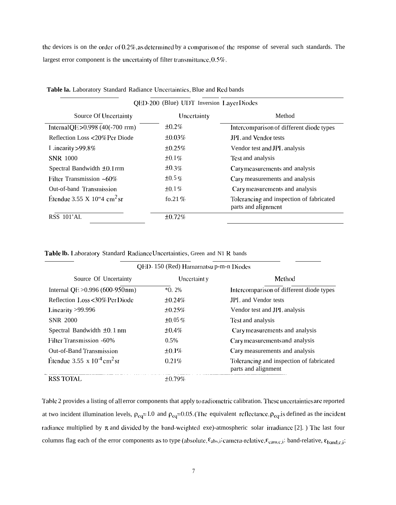the devices is on the order of 0.2%, as determined by a comparison of the response of several such standards. The largest error component is the uncertainty of filter transmittance, 0.5%.

| QED-200 (Blue) UDT Inversion Layer Diodes      |              |                                                                 |  |  |  |  |
|------------------------------------------------|--------------|-----------------------------------------------------------------|--|--|--|--|
| Uncertainty<br>Source Of Uncertainty<br>Method |              |                                                                 |  |  |  |  |
| Internal QE>0.998 (40(-700 rrm)                | ±0.2%        | Intercomparison of different diode types                        |  |  |  |  |
| Reflection Loss <20% Per Diode                 | $\pm 0.03\%$ | <b>JPL</b> and Vendor tests                                     |  |  |  |  |
| I inearity $>99.8\%$                           | $\pm 0.25\%$ | Vendor test and JPL analysis                                    |  |  |  |  |
| <b>SNR 1000</b>                                | $\pm 0.1\%$  | Test and analysis                                               |  |  |  |  |
| Spectral Bandwidth ±0.1rrm                     | $\pm 0.3\%$  | Cary measurements and analysis                                  |  |  |  |  |
| Filter Transmission $~160\%$                   | $\pm 0.5\%$  | Cary measurements and analysis                                  |  |  |  |  |
| Out-of-band Transmission                       | $\pm 0.1\%$  | Cary measurements and analysis                                  |  |  |  |  |
| Etendue 3.55 X 10"4 cm <sup>2</sup> sr         | fo.21 $%$    | Tolerancing and inspection of fabricated<br>parts and alignment |  |  |  |  |
| RSS 101'AL                                     | ±0.72%       |                                                                 |  |  |  |  |

Table la. Laboratory Standard Radiance Uncertainties, Blue and Red bands

|  |  |  | <b>Table lb.</b> Laboratory Standard Radiance Uncertainties, Green and N1 R bands |  |
|--|--|--|-----------------------------------------------------------------------------------|--|
|--|--|--|-----------------------------------------------------------------------------------|--|

| QED-150 (Red) Hamamatsu p-m-n Diodes        |              |                                                                 |  |  |  |  |
|---------------------------------------------|--------------|-----------------------------------------------------------------|--|--|--|--|
| Source Of Uncertainty                       | Uncertaint y | Method                                                          |  |  |  |  |
| Internal QE $>0.996$ (600-950 nm)           | $*O.2\%$     | Intercomparison of different diode types                        |  |  |  |  |
| Reflection Loss<30% Per Diode               | $\pm 0.24\%$ | JPL and Vendor tests                                            |  |  |  |  |
| Linearity $>99.996$                         | $\pm 0.25\%$ | Vendor test and JPL analysis                                    |  |  |  |  |
| <b>SNR 2000</b>                             | $\pm 0.05\%$ | Test and analysis                                               |  |  |  |  |
| Spectral Bandwidth $\pm 0.1$ nm             | $\pm 0.4\%$  | Carymeasurements and analysis                                   |  |  |  |  |
| <b>Filter Transmission -60%</b>             | 0.5%         | Cary measurements and analysis                                  |  |  |  |  |
| Out-of-Band Transmission                    | $\pm 0.1\%$  | Cary measurements and analysis                                  |  |  |  |  |
| Étendue 3.55 x $10^{-4}$ cm <sup>2</sup> sr | 0.21%        | Tolerancing and inspection of fabricated<br>parts and alignment |  |  |  |  |
| <b>RSS TOTAL</b>                            | $\pm 0.79\%$ |                                                                 |  |  |  |  |

Table 2 provides a listing of all error components that apply to radiometric calibration. These uncertainties are reported at two incident illumination levels,  $\rho_{eq} = I.0$  and  $\rho_{eq} = 0.05$ . (The equivalent reflectance,  $\rho_{eq}$ , is defined as the incident radiance multiplied by  $\pi$  and divided by the band-weighted exe)-atmospheric solar irradiance [2]. The last four columns flag each of the error components as to type (absolute,  $\epsilon_{abs,i}$ ; camera-relative,  $\epsilon_{cam,c,i}$ ; band-relative,  $\epsilon_{band,c,i}$ ;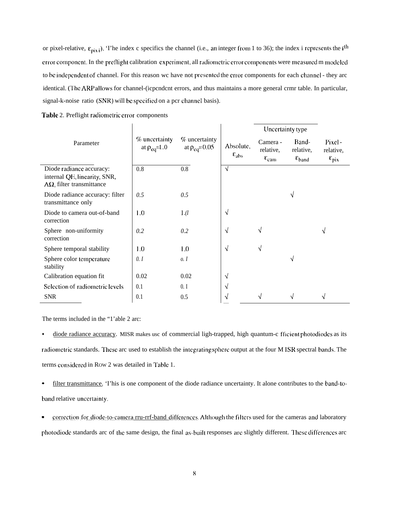or pixel-relative,  $\varepsilon_{\text{pix}}$ ). The index c specifics the channel (i.e., an integer from 1 to 36); the index i represents the i<sup>th</sup> error component. In the preflight calibration experiment, all radiometric error components were measured m modeled to be independent of channel. For this reason we have not presented the error components for each channel - they are identical. (The ARP allows for channel-(icpcndcnt errors, and thus maintains a more general crmr table. In particular, signal-k-noise ratio (SNR) will be specified on a pcr channel basis).

 $\mathbf{r}$ 

|                                                                                              |                                       |                                        | Uncertainty type                     |                                                     |                                                   |                                                |
|----------------------------------------------------------------------------------------------|---------------------------------------|----------------------------------------|--------------------------------------|-----------------------------------------------------|---------------------------------------------------|------------------------------------------------|
| Parameter                                                                                    | $%$ uncertainty<br>at $\rho_{eq}=1.0$ | % uncertainty<br>at $\rho_{eq} = 0.05$ | Absolute,<br>$\varepsilon_{\rm abs}$ | Camera -<br>relative,<br>$\varepsilon_{\text{cam}}$ | Band-<br>relative,<br>$\varepsilon_{\text{band}}$ | Pixel-<br>relative.<br>$\varepsilon_{\rm pix}$ |
| Diode radiance accuracy:<br>internal QE, linearity, SNR,<br>$A\Omega$ , filter transmittance | 0.8                                   | 0.8                                    | $\sqrt{}$                            |                                                     |                                                   |                                                |
| Diode radiance accuracy: filter<br>transmittance only                                        | 0.5                                   | 0.5                                    |                                      |                                                     | V                                                 |                                                |
| Diode to camera out-of-band<br>correction                                                    | 1.0                                   | 1.(I)                                  | N                                    |                                                     |                                                   |                                                |
| Sphere non-uniformity<br>correction                                                          | 0.2                                   | 0.2                                    | N                                    | V                                                   |                                                   | V                                              |
| Sphere temporal stability                                                                    | 1.0                                   | 1.0                                    | N                                    | V                                                   |                                                   |                                                |
| Sphere color temperature<br>stability                                                        | 0.1                                   | 0.1                                    |                                      |                                                     | √                                                 |                                                |
| Calibration equation fit                                                                     | 0.02                                  | 0.02                                   | N                                    |                                                     |                                                   |                                                |
| Selection of radiometric levels                                                              | 0.1                                   | 0. I                                   | V                                    |                                                     |                                                   |                                                |
| <b>SNR</b>                                                                                   | 0.1                                   | 0.5                                    | V                                    | $\sqrt{}$                                           | N                                                 | N                                              |

The terms included in the "1'able 2 arc:

 $\bullet$ diode radiance accuracy. MISR makes usc of commercial ligh-trapped, high quantum-c fficient photodiodes as its radiometric standards. These arc used to establish the integrating sphere output at the four M ISR spectral bands. The terms considered in Row 2 was detailed in Table 1.

filter transmittance. This is one component of the diode radiance uncertainty. It alone contributes to the band-to- $\bullet$ band relative uncertainty.

 $\bullet$ correction for diode-to-camera rru-rrf-band differences. Although the filters used for the cameras and laboratory photodiode standards arc of the same design, the final as-built responses are slightly different. These differences arc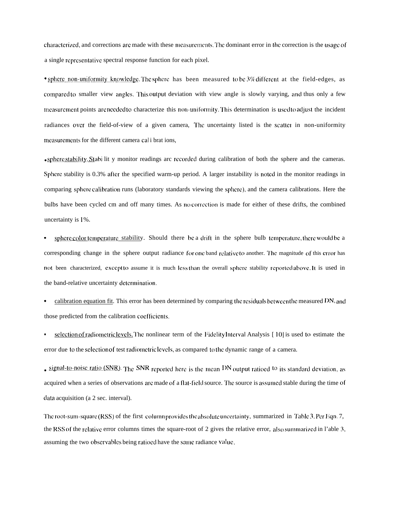characterized, and corrections are made with these measurements. The dominant error in the correction is the usage of a single rcprcscntalive spectral response function for each pixel.

• sphere non-uniformity knowledge. The sphere has been measured to be 3% different at the field-edges, as compared to smaller view angles. This output deviation with view angle is slowly varying, and thus only a few measurement points are needed to characterize this non-uniformity. This determination is used to adjust the incident radiances over the field-of-view of a given camera. The uncertainty listed is the scatter in non-uniformity measurements for the different camera cal i brat ions,

• sphere stability. Stabi lit y monitor readings arc recorded during calibration of both the sphere and the cameras. Sphere stability is 0.3% after the specified warm-up period. A larger instability is noted in the monitor readings in comparing sphere calibration runs (laboratory standards viewing the sphere), and the camera calibrations. Here the bulbs have been cycled cm and off many times. As no comcction is made for either of these drifts, the combined uncertainty is I %.

sphere color temperature stability. Should there be a drift in the sphere bulb temperature, there would be a corresponding change in the sphere output radiance for one band relative to another. The magnitude of this error has not been characterized, except to assume it is much less than the overall sphere stability reported above. It is used in the band-relative uncertainty determination.

- . calibration equation fit. This error has been determined by comparing (he resiciuais bctwccn tile measured DN, and those predicted from the calibration cocfiicicnts.
- selection of radiometric levels. The nonlinear term of the Fidelity Interval Analysis [10] is used to estimate the error due to the selection of test radiometric levels, as compared to the dynamic range of a camera.

• *signal-to-noise ratio (SNR).* The SNR reported here is the mean DN output ratioed <sup>to</sup> its standard deviation, as acquired when a series of observations arc made of a flat-field source. The source is assumed stable during the time of ciata acquisition (a 2 sec. interval).

The root-sum-square (RSS) of the first column provides the absolute uncertainty, summarized in Table 3. Per Eqn. 7, the RSS of the relative error columns times the square-root of 2 gives the relative error, also summarized in l'able 3, assuming the two observables being ratioed have the same radiance value.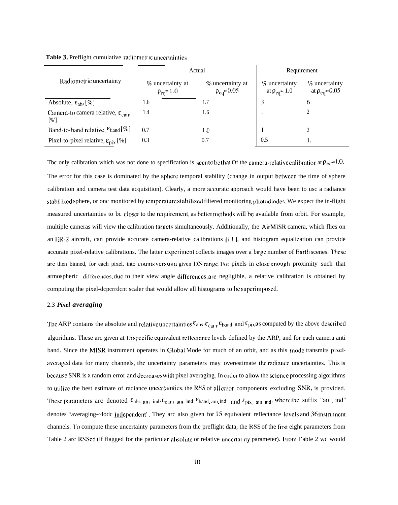|  | <b>Table 3.</b> Preflight cumulative radiometric uncertainties |  |  |
|--|----------------------------------------------------------------|--|--|
|  |                                                                |  |  |

|                                                               | Actual                                  |                                        | Requirement                              |                                           |  |
|---------------------------------------------------------------|-----------------------------------------|----------------------------------------|------------------------------------------|-------------------------------------------|--|
| Radiometric uncertainty                                       | $%$ uncertainty at<br>$\rho_{eq} = 1.0$ | % uncertainty at<br>$\rho_{eq} = 0.05$ | $\%$ uncertainty<br>at $\rho_{eq} = 1.0$ | $\%$ uncertainty<br>at $\rho_{eq} = 0.05$ |  |
| Absolute, $\epsilon_{\text{abs}}[\%]$                         | 1.6                                     |                                        |                                          |                                           |  |
| Camera-to camera relative, $\varepsilon_{\text{cam}}$<br>[%'] | 1.4                                     | 1.6                                    |                                          |                                           |  |
| Band-to-band relative, $\varepsilon_{\text{band}} [\%]$       | 0.7                                     | 1.()                                   |                                          |                                           |  |
| Pixel-to-pixel relative, $\epsilon_{\text{pix}}$ [%]          | 0.3                                     | 0.7                                    | 0.5                                      |                                           |  |

Tbc only calibration which was not done to specification is secult be that Of the camera-relative calibration at  $\rho_{eq}=1.0$ . The error for this case is dominated by the sphere temporal stability (change in output bctwccn the time of sphere calibration and camera test data acquisition). Clearly, a more accurate approach would have been to usc a radiance stabilized sphere, or onc monitored by temperature stab ilized filtered monitoring photodiodes. We expect the in-flight measured uncertainties to bc closer to the requirement, as better methods will be available from orbit. For example, multiple cameras will view the calibration targets simultaneously. Additionally, the AirMISR camera, which flies on an ER-2 aircraft, can provide accurate camera-relative calibrations  $[11]$ , and histogram equalization can provide accurate pixel-relative calibrations. The latter experiment collects images over a large number of Earth scenes. These are then binned, for each pixel, into counts versus a given DN range. For pixels in close enough proximity such that atmospheric differences, due to their view angle differences, are negligible, a relative calibration is obtained by computing the pixel-dcpcrrdcnt scaler that would allow all histograms to be superimposed.

#### 2.3 *Pixel averaging*

The ARP contains the absolute and relative uncertainties  $\varepsilon_{abs}$ ,  $\varepsilon_{camp}$ ,  $\varepsilon_{band}$ , and  $\varepsilon_{pix}$  as computed by the above described algorithms. These arc given at 15 spcciflc equivalent rcflcctancc levels defined by the ARP, and for each camera anti band. Since the MISR instrument operates in Global Mode for much of an orbit, and as this mode transmits pixelaveraged data for many channels, the uncertainty parameters may overestimate the radiance uncertainties. This is because SNR is a random error and decreases with pixel averaging. In order to allow the science processing algorithms to utilize the best estimate of radiance uncertainties, the RSS of all crror components excluding SNR, is provided. These parameters arc denoted  $\epsilon_{abs\_am\_ind}$ ,  $\epsilon_{cam\_am\_ind}$ ,  $\epsilon_{band\_am\_ind}$ , and  $\epsilon_{pix\_am\_ind}$ , where the suffix "am\_ind" denotes "averaging-~lodc independent". They arc also given for 15 equivalent reflectance Icvcls and 36 instrument channels. '1'o compute these uncertainty parameters from the preflight data, the RSS of the first eight parameters from Table 2 arc RSScd (if flagged for the particular absolute or relative uncertainty parameter). From I'able 2 wc would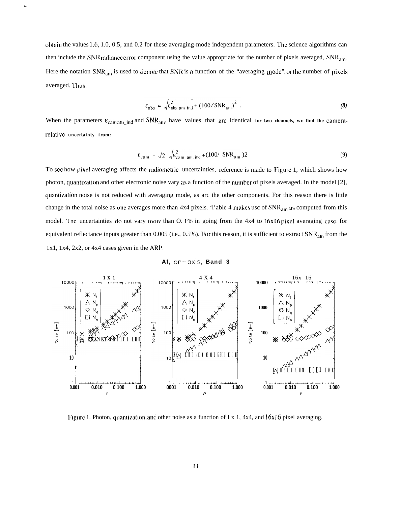obtain the values 1.6, 1.0, 0.5, and 0.2 for these averaging-mode independent parameters. l'hc science algorithms can then include the SNR radiance error component using the value appropriate for the number of pixels averaged,  $SNR_{\text{am}}$ . Here the notation  $SNR_{am}$  is used to denote that SNR is a function of the "averaging mode", or the number of pixels averaged. Thus,

ï,

$$
\varepsilon_{\text{abs}} = \sqrt{\varepsilon_{\text{abs\_am\_ind}}^2 + (100/\text{SNR}_{\text{am}})^2} \tag{8}
$$

When the parameters  $\varepsilon_{\text{cam an}}$  ind and SNR<sub>am</sub>, have values that are identical for two channels, we find the camera**rclativc uncertainty from:**

$$
\varepsilon_{\text{cam}} = \sqrt{2} \sqrt{\varepsilon_{\text{cam\_am\_ind}}^2 + (100/\text{SNR}_{\text{am}})^2}
$$
 (9)

To see how pixel averaging affects the radiomctric uncertainties, reference is made to Figure 1, which shows how photon, quantization and other electronic noise vary as a function of the number of pixels averaged. In the model  $[2]$ , quantization noise is not reduced with averaging mode, as arc the other components. For this reason there is little change in the total noise as one averages more than  $4x4$  pixels. 'l'able 4 makes usc of  $SNR_{am}$  as computed from this model. The uncertainties do not vary more than O. 1% in going from the 4x4 to 16x16 pixel averaging case, for equivalent reflectance inputs greater than 0.005 (i.e.,  $0.5\%$ ). For this reason, it is sufficient to extract  $SNR_{am}$  from the 1x1, 1x4, 2x2, or 4x4 cases given in the ARP.

**Af, on–oxis, Band 3**



Figure 1. Photon, quantization, and other noise as a function of I x 1, 4x4, and  $16x16$  pixel averaging.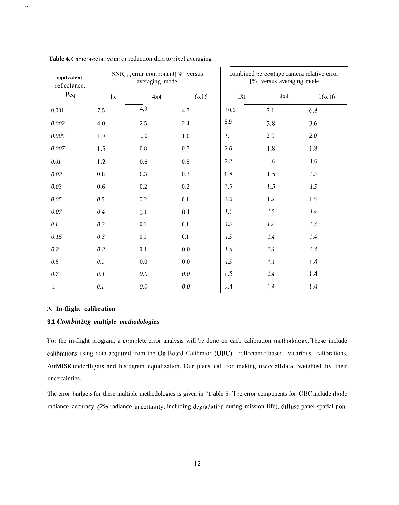| equivalent<br>reflectance, | $SNR_{am}$ crmr component [%] versus<br>averaging mode |         |         | combined percentage camera relative error<br>[%] versus averaging mode |         |         |
|----------------------------|--------------------------------------------------------|---------|---------|------------------------------------------------------------------------|---------|---------|
| $\rho_{eq}$                | 1x1                                                    | 4x4     | 16x16   | 1X1                                                                    | 4x4     | 16x16   |
| 0.001                      | 7.5                                                    | 4,9     | 4.7     | 10.6                                                                   | $7.1\,$ | 6.8     |
| $0.002\,$                  | 4.0                                                    | $2.5\,$ | 2.4     | 5.9                                                                    | 3.8     | 3.6     |
| 0.005                      | I.9                                                    | $1.0\,$ | 1.0     | 3.1                                                                    | 2. I    | 2.0     |
| $0.007\,$                  | 1.5                                                    | $0.8\,$ | 0.7     | 2.6                                                                    | 1.8     | 1.8     |
| $0.01\,$                   | 1.2                                                    | $0.6\,$ | 0.5     | 2.2                                                                    | $1.6\,$ | 1.6     |
| $0.02\,$                   | $0.8\,$                                                | $0.3\,$ | 0.3     | 1.8                                                                    | 1.5     | I.5     |
| $0.03\,$                   | 0.6                                                    | $0.2\,$ | $0.2\,$ | 1.7                                                                    | 1.5     | 1.5     |
| 0.05                       | 0.5                                                    | $0.2\,$ | $0.1\,$ | 1.6                                                                    | $1.s$   | 1.5     |
| $0.07\,$                   | 0.4                                                    | ().1    | 0.1     | <i>I</i> .6                                                            | $1.5\,$ | $1.4\,$ |
| $0.1\,$                    | 0.3                                                    | $0.1\,$ | 0.1     | $1.5\,$                                                                | $I.4\,$ | $I.4$   |
| 0.15                       | 0.3                                                    | $0.1\,$ | $0.1\,$ | 1.5                                                                    | $1.4\,$ | $I.4\,$ |
| $0.2\,$                    | 0.2                                                    | 0. I    | $0.0\,$ | I.s                                                                    | $1.4\,$ | $I.4$   |
| $0.5\,$                    | $0.1\,$                                                | $0.0\,$ | $0.0\,$ | 1.5                                                                    | $1.4\,$ | 1.4     |
| $0.7\,$                    | 0.1                                                    | $0.0\,$ | $0.0\,$ | 1.5                                                                    | $1.4\,$ | 1.4     |
| 1.                         | $0.1\,$                                                | $0.0\,$ | $0.0\,$ | 1.4                                                                    | $1.4\,$ | 1.4     |

Table 4. Camera-relative error reduction dLIC to pixel averaging

### **3. In-flight calibration**

. .

## **3.1** *C'ombin ing multiple methodologies*

For the in-flight program, a complete error analysis will be done on cacb calibration methodology. These include calibrations using data acquired from the On-Board Calibrator (OBC), rcflcctancc-based vicarious calibrations, AirMISR underflights, and histogram equalization. Our plans call for making use of all data, weighted by their uncertainties.

The error budgets for these multiple methodologies is given in "1'able 5. The error components for OBC include diode radiance accuracy (2% radiance uncertainty, including degradation during mission life), diffuse panel spatial non-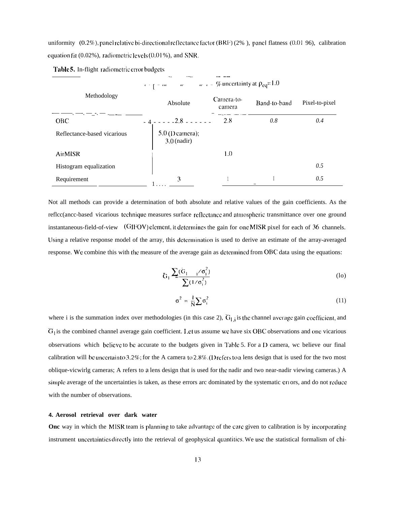uniformity (0.2%), panel relative bi-directional reflectance factor (BRF) (2%), panel flatness (0.01 96), calibration equation fit (0.02%), radiometric levels (0.01%), and SNR.

|                             | $\omega = \omega_c - \frac{\omega}{c}$ uncertainty at $\rho_{eq} = 1.0$<br>$\epsilon - \frac{1}{2}$ = $\frac{1}{2}$ |                      |              |                |  |  |  |
|-----------------------------|---------------------------------------------------------------------------------------------------------------------|----------------------|--------------|----------------|--|--|--|
| Methodology                 | Absolute                                                                                                            | Camera-to-<br>camera | Band-to-band | Pixel-to-pixel |  |  |  |
| <b>OBC</b>                  | <u>- 4 - - - - - 2.8 - - - - - -</u>                                                                                | 2.8                  | 0.8          | 0.4            |  |  |  |
| Reflectance-based vicarious | $5.0$ (D camera);<br>$3.0$ (nadir)                                                                                  |                      |              |                |  |  |  |
| <b>AirMISR</b>              |                                                                                                                     | 1.0                  |              |                |  |  |  |
| Histogram equalization      |                                                                                                                     |                      |              | 0.5            |  |  |  |
| Requirement                 | 3                                                                                                                   |                      |              | 0.5            |  |  |  |

Table 5. In-flight radiometric error budgets

Not all methods can provide a determination of both absolute and relative values of the gain coefficients. As the reflec(ance-based vicarious technique measures surface reflectance and atmospheric transmittance over one ground instantaneous-field-of-view (GIFOV) clement, it determines the gain for one MISR pixel for each of 36 channels. Using a relative response model of the array, this determination is used to derive an estimate of the array-averaged response. We combine this with the measure of the average gain as determined from OBC data using the equations:

$$
\bar{G}_1 \frac{\sum_i (\bar{G}_1 - i\sigma_i^2)}{\sum_i (1/\sigma_i^2)}
$$
 (10)

$$
\sigma^2 = \frac{1}{N} \sum \sigma_i^2 \tag{11}
$$

where i is the summation index over methodologies (in this case 2),  $\overline{G}_{1,i}$  is the channel average gain coefficient, and  $\overline{G}_1$  is the combined channel average gain coefficient. Let us assume we have six OBC observations and one vicarious observations which believe to be accurate to the budgets given in Table 5. For a D camera, we believe our final calibration will be uncertainto 3.2%; for the A camera to 2.8%. (D refers to a lens design that is used for the two most oblique-vicwirlg cameras; A refers to a lens design that is used for the nadir and two near-nadir viewing cameras.) A simple average of the uncertainties is taken, as these errors arc dominated by the systematic errors, and do not reduce with the number of observations.

#### 4. Aerosol retrieval over dark water

Onc way in which the MISR team is planning to take advantage of the care given to calibration is by incorporating instrument uncertainties directly into the retrieval of geophysical quantities. We use the statistical formalism of chi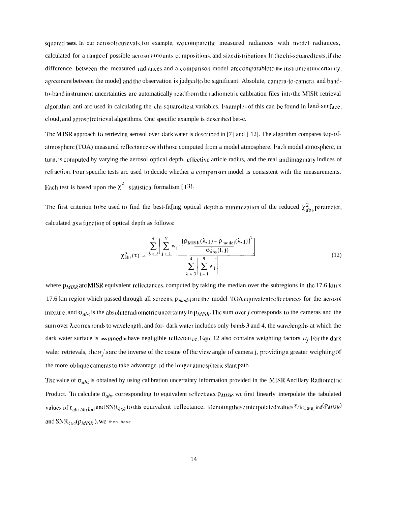squared tests. In our aerosolietrievals, for example, we compare the measured radiances with model radiances, calculated for a range of possible acrosolamounts, compositions, and size distributions. In the chi-squared tests, if the difference between the measured radiances and a comparison model are comparable to the instrument uncertainty, agreement between the mode] and the observation is judged to be significant. Absolute, camera-to-camera, and bandto-band instrument uncertainties are automatically read from the radiometric calibration files into the MISR retrieval algorithm, anti arc used in calculating the chi-squared test variables. Examples of this can be found in land-sur face, cloud, and acrosol retrieval algorithms. One specific example is described bet-c.

The MISR approach to retrieving aerosol over dark water is described in [7] and [12]. The algorithm compares top-ofatmosphere (TOA) measured reflectances with those computed from a model atmosphere. Each model atmosphere, in turn, is computed by varying the aerosol optical depth, effective article radius, and the real and imaginary indices of refraction. Four specific tests arc used to dccide whether a comparison model is consistent with the measurements. Each test is based upon the  $\chi^2$  statistical formalism [13].

The first criterion to be used to find the best-fit[ing optical depth is minimization of the reduced  $\chi^2_{\rm abs}$  parameter, calculated as a function of optical depth as follows:

$$
\chi_{\text{abs}}^2(\tau) = \frac{\sum_{\lambda = 3}^{4} \left[ \sum_{j=1}^{9} w_j \cdot \frac{\left[ \rho_{\text{MISR}}(\lambda, j) - \rho_{\text{model}}(\lambda, j) \right]^2}{\sigma_{\text{abs}}^2(l, j)} \right]}{\sum_{\lambda = 3}^{4} \left[ \sum_{j=1}^{9} w_j \right]}
$$
(12)

where  $\rho_{MISR}$  are MISR equivalent reflectances, computed by taking the median over the subregions in the 17.6 km x 17.6 km region which passed through all screens,  $p_{model}$  are the model TOA equivalent reflectances for the aerosol mixture, and  $\sigma_{abs}$  is the absolute radiometric uncertainty in  $\rho_{MISR}$ . The sum over j corresponds to the cameras and the sum over  $\lambda$  corresponds to wavelength, and for- dark water includes only bands 3 and 4, the wavelengths at which the dark water surface is assumed to have negligible reflectance. Eqn. 12 also contains weighting factors  $w_i$ . For the dark waler retrievals, the  $w_i$ 's are the inverse of the cosine of the view angle of camera j, providing a greater weighting of the more oblique cameras to take advantage of the longer atmospheric slant path

The value of  $\sigma_{abs}$  is obtained by using calibration uncertainty information provided in the MISR Ancillary Radiometric Product. To calculate  $\sigma_{abs}$  corresponding to equivalent reflectance  $\rho_{MISR}$ , we first linearly interpolate the tabulated values of  $\varepsilon_{abs\,am\,ind}$  and SNR<sub>4x4</sub> to this equivalent reflectance. Denoting these interpolated values  $\varepsilon_{abs\,-am}$  ind  $(\rho_{MISR})$ and SNR<sub>4x4</sub>( $\rho_{MISR}$ ), We then have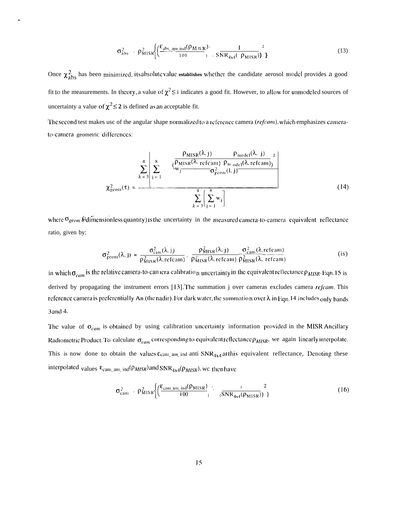$$
\sigma_{\text{abs}}^2 = \rho_{\text{MISR}}^2 \left\{ \left( \frac{\varepsilon_{\text{abs\_aun\_ind}} (\rho_{\text{M IB R}})}{100} \right)^2, \frac{1}{\text{SNR}_{4x4}(-\rho_{\text{MISR}})} \right)^2 \right\}
$$
(13)

Once  $\chi^2_{\rm abs}$  has been minimized, its absolute value establishes whether the candidate aerosol model provides a good fit to the measurements. In theory, a value of  $\chi^2 \leq i$  indicates a good fit. However, to allow for unmodeled sources of uncertainty a value of  $\chi^2 \leq 2$  is defined as an acceptable fit.

 $\ddot{\phantom{0}}$ 

The second test makes usc of the angular shape normalized to a reference camera (refcam), which emphasizes camerato-camera geometric differences:

$$
\chi_{\text{geom}}^2(\tau) = \frac{\sum_{\lambda=3}^4 \left[ \sum_{j=1}^8 \frac{\left( \frac{\rho_{\text{MISR}}(\lambda, j) - \rho_{\text{model}}(\lambda, j)}{\rho_{\text{MISR}}(\lambda, \text{refcam}) \right) \rho_{\text{model}}(\lambda, \text{refcam})}{\sigma_{\text{geom}}^2(1, j)} \right]}{\sum_{\lambda=3}^4 \left[ \sum_{j=1}^8 w_j \right]}
$$
(14)

where  $\sigma_{geom}$  are a fedimentionless quantity) is the uncertainty in the measured camera-to-camera equivalent reflectance ratio, given by:

$$
\sigma_{\text{geom}}^2(\lambda, j) = \frac{\sigma_{\text{cam}}^2(\lambda, j)}{\rho_{\text{MISR}}^2(\lambda, \text{refcam})} \cdot \frac{\rho_{\text{MISR}}^2(\lambda, j)}{\rho_{\text{MISR}}^2(\lambda, \text{refcam})} \frac{\sigma_{\text{cam}}^2(\lambda, \text{refcam})}{\rho_{\text{MISR}}^2(\lambda, \text{refcam})}
$$
(is)

in which  $\sigma_{cam}$  is the relative camera-to-camera calibration uncertainty in the equivalent reflectance  $\rho_{MISR}$ . Eqn. 15 is derived by propagating the instrument errors [13]. The summation j over cameras excludes camera refcam. This reference camera is preferentially An (the nadir). For dark water, the summation over  $\lambda$  in Eqn. 14 includes only bands 3 and 4.

The value of  $\sigma_{cam}$  is obtained by using calibration uncertainty information provided in the MISR Ancillary Radiometric Product. To calculate  $\sigma_{cam}$  corresponding to equivalent reflectance  $\rho_{MISR}$ , we again linearly interpolate. This is now done to obtain the values  $\varepsilon_{\text{cam\_am\_ind}}$  anti  $\text{SNR}_{4\times 4}$  at this equivalent reflectance, Denoting these interpolated values  $\epsilon_{\text{cam\_am\_ind}}(\rho_{MISR})$  and  $\text{SNR}_{4 \times 4}(\rho_{MISR})$ , we then have

$$
\sigma_{\text{cam}}^2 = \rho_{\text{MISR}}^2 \left\{ \left( \frac{\varepsilon_{\text{cam\_and}} (\rho_{\text{MISR}})}{100} \right)^{-1} \left( \frac{1}{\text{SNR}_{4x4}(\rho_{\text{MISR}})} \right)^2 \right\}
$$
(16)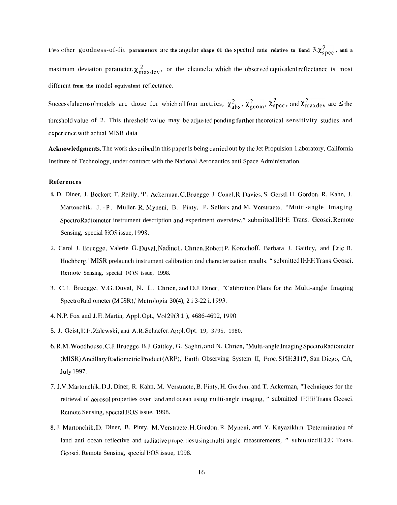1'wo other goodness-of-fit parameters are the angular shape 01 the spectral ratio relative to Band  $3,\chi^2_{\rm spec}$ , anti a maximum deviation parameter,  $\chi_{maxdev}^2$ , or the channel at which the observed equivalent reflectance is most different from the model equivalent reflectance.

Successful aerosol models are those for which all four metrics,  $\chi^2_{\text{abs}}, \chi^2_{\text{geom}}, \chi^2_{\text{spec}}$ , and  $\chi^2_{\text{maxdev}}$  are  $\leq$  the threshold value of 2. This threshold value may be adjusted pending further theoretical sensitivity studies and experience with actual MISR data.

Acknowledgments. The work described in this paper is being carried out by the Jet Propulsion 1.aboratory, California Institute of Technology, under contract with the National Aeronautics anti Space Administration.

#### **References**

- i. D. Diner, J. Beckert, T. Reilly, 'T. Ackerman, C. Bruegge, J. Conel, R. Davies, S. Gerstl, H. Gordon, R. Kahn, J. Martonchik, J.-P. Muller, R. Myneni, B. Pinty, P. Sellers, and M. Verstraete, "Muiti-angle Imaging SpectroRadiometer instrument description and experiment overview," submitted IEEE Trans. Geosci. Remote Sensing, special EOS issue, 1998.
- 2. Carol J. Bruegge, Valerie G. Duval, Nadine L. Chrien, Robert P. Korechoff, Barbara J. Gaitley, and Eric B. Hochberg, "MISR prelaunch instrument calibration and characterization results, "submitted IEEE Trans. Geosci. Remote Sensing, special EOS issue, 1998.
- 3. C.J. Bruegge, V.G. Duval, N. I.. Chrien, and D.J. Diner, "Calibration Plans for the Multi-angle Imaging SpectroRadiometer (M ISR),"Metrologia, 30(4), 2 i 3-22 i, 1993.
- 4. N.P. Fox and J.E. Martin, Appl. Opt., Vol 29(3 1), 4686-4692, 1990.
- 5. J. Geist, E.F. Zalewski, anti A.R. Schaefer, Appl. Opt. 19, 3795, 1980.
- 6. R.M. Woodhouse, C.J. Bruegge, B.J. Gaitley, G. Saghri, and N. Chrien, "Multi-angle Imaging SpectroRadiometer (MISR) Ancillary Radiometric Product (ARP)," Earth Observing System II, Proc. SPIE 3117, San Diego, CA, **July 1997.**
- 7. J.V. Martonchik, D.J. Diner, R. Kahn, M. Verstracte, B. Pinty, H. Gordon, and T. Ackerman, "Techniques for the retrieval of aerosol properties over land and ocean using multi-angle imaging, " submitted IEEE Trans. Geosci. Remote Sensing, special EOS issue, 1998.
- 8. J. Martonchik, D. Diner, B. Pinty, M. Verstracte, H. Gordon, R. Myneni, anti Y. Knyazikhin. "Determination of land anti ocean reflective and radiative properties using multi-angle measurements, " submitted IEEE Trans. Geosci. Remote Sensing, special FOS issue, 1998.